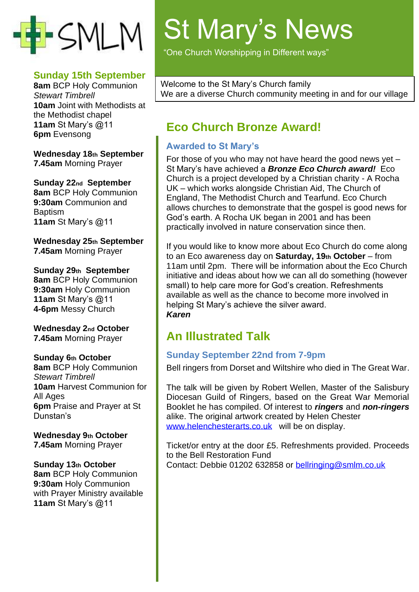

#### **Sunday 15th September**

**8am** BCP Holy Communion *Stewart Timbrell* **10am** Joint with Methodists at the Methodist chapel **11am** St Mary's @11 **6pm** Evensong

**Wednesday 18th September 7.45am** Morning Prayer

**Sunday 22nd September 8am** BCP Holy Communion **9:30am** Communion and **Baptism 11am** St Mary's @11

**Wednesday 25th September 7.45am** Morning Prayer

**Sunday 29th September 8am** BCP Holy Communion **9:30am** Holy Communion **11am** St Mary's @11 **4-6pm** Messy Church

**Wednesday 2nd October 7.45am** Morning Prayer

#### **Sunday 6th October**

**8am** BCP Holy Communion *Stewart Timbrell* **10am** Harvest Communion for All Ages **6pm** Praise and Prayer at St Dunstan's

**Wednesday 9th October 7.45am** Morning Prayer

#### **Sunday 13th October**

**8am** BCP Holy Communion **9:30am** Holy Communion with Prayer Ministry available **11am** St Mary's @11

# St Mary's News

"One Church Worshipping in Different ways"

Welcome to the St Mary's Church family We are a diverse Church community meeting in and for our village

## **Eco Church Bronze Award!**

## **Awarded to St Mary's**

For those of you who may not have heard the good news yet – St Mary's have achieved a *Bronze Eco Church award!* Eco Church is a project developed by a Christian charity - A Rocha UK – which works alongside Christian Aid, The Church of England, The Methodist Church and Tearfund. Eco Church allows churches to demonstrate that the gospel is good news for God's earth. A Rocha UK began in 2001 and has been practically involved in nature conservation since then.

If you would like to know more about Eco Church do come along to an Eco awareness day on **Saturday, 19th October** – from 11am until 2pm. There will be information about the Eco Church initiative and ideas about how we can all do something (however small) to help care more for God's creation. Refreshments available as well as the chance to become more involved in helping St Mary's achieve the silver award. *Karen*

## **An Illustrated Talk**

## **Sunday September 22nd from 7-9pm**

Bell ringers from Dorset and Wiltshire who died in The Great War.

The talk will be given by Robert Wellen, Master of the Salisbury Diocesan Guild of Ringers, based on the Great War Memorial Booklet he has compiled. Of interest to *ringers* and *non-ringers* alike. The original artwork created by Helen Chester [www.helenchesterarts.co.uk](http://www.helenchesterarts.co.uk/) will be on display.

Ticket/or entry at the door £5. Refreshments provided. Proceeds to the Bell Restoration Fund Contact: Debbie 01202 632858 or [bellringing@smlm.co.uk](mailto:bellringing@smlm.co.uk)